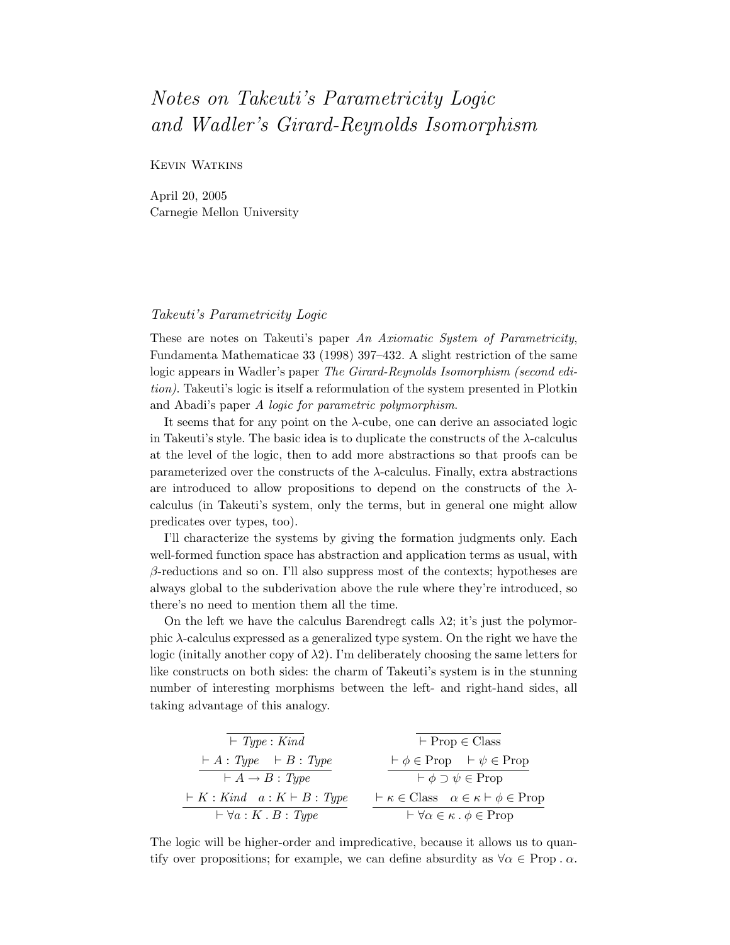## Notes on Takeuti's Parametricity Logic and Wadler's Girard-Reynolds Isomorphism

Kevin Watkins

April 20, 2005 Carnegie Mellon University

## Takeuti's Parametricity Logic

These are notes on Takeuti's paper An Axiomatic System of Parametricity, Fundamenta Mathematicae 33 (1998) 397–432. A slight restriction of the same logic appears in Wadler's paper The Girard-Reynolds Isomorphism (second edition). Takeuti's logic is itself a reformulation of the system presented in Plotkin and Abadi's paper A logic for parametric polymorphism.

It seems that for any point on the  $\lambda$ -cube, one can derive an associated logic in Takeuti's style. The basic idea is to duplicate the constructs of the  $\lambda$ -calculus at the level of the logic, then to add more abstractions so that proofs can be parameterized over the constructs of the  $\lambda$ -calculus. Finally, extra abstractions are introduced to allow propositions to depend on the constructs of the  $\lambda$ calculus (in Takeuti's system, only the terms, but in general one might allow predicates over types, too).

I'll characterize the systems by giving the formation judgments only. Each well-formed function space has abstraction and application terms as usual, with  $\beta$ -reductions and so on. I'll also suppress most of the contexts; hypotheses are always global to the subderivation above the rule where they're introduced, so there's no need to mention them all the time.

On the left we have the calculus Barendregt calls  $\lambda$ 2; it's just the polymorphic  $\lambda$ -calculus expressed as a generalized type system. On the right we have the logic (initially another copy of  $\lambda$ 2). I'm deliberately choosing the same letters for like constructs on both sides: the charm of Takeuti's system is in the stunning number of interesting morphisms between the left- and right-hand sides, all taking advantage of this analogy.

| $\vdash$ Type : Kind                                                                                                                   | $\vdash$ Prop $\in$ Class                                       |
|----------------------------------------------------------------------------------------------------------------------------------------|-----------------------------------------------------------------|
| $\vdash A : Type \quad \vdash B : Type$                                                                                                | $\vdash \phi \in \text{Prop} \quad \vdash \psi \in \text{Prop}$ |
| $\vdash A \rightarrow B : Type \quad \vdash \phi \supset \psi \in \text{Prop}$                                                         |                                                                 |
| $\vdash K : Kind \quad a : K \vdash B : Type \quad \vdash \kappa \in \text{Class} \quad \alpha \in \kappa \vdash \phi \in \text{Prop}$ |                                                                 |
| $\vdash \forall a : K : B : Type \quad \vdash \forall \alpha \in \kappa \cdot \phi \in \text{Prop}$                                    |                                                                 |

The logic will be higher-order and impredicative, because it allows us to quantify over propositions; for example, we can define absurdity as  $\forall \alpha \in \text{Prop } \alpha$ .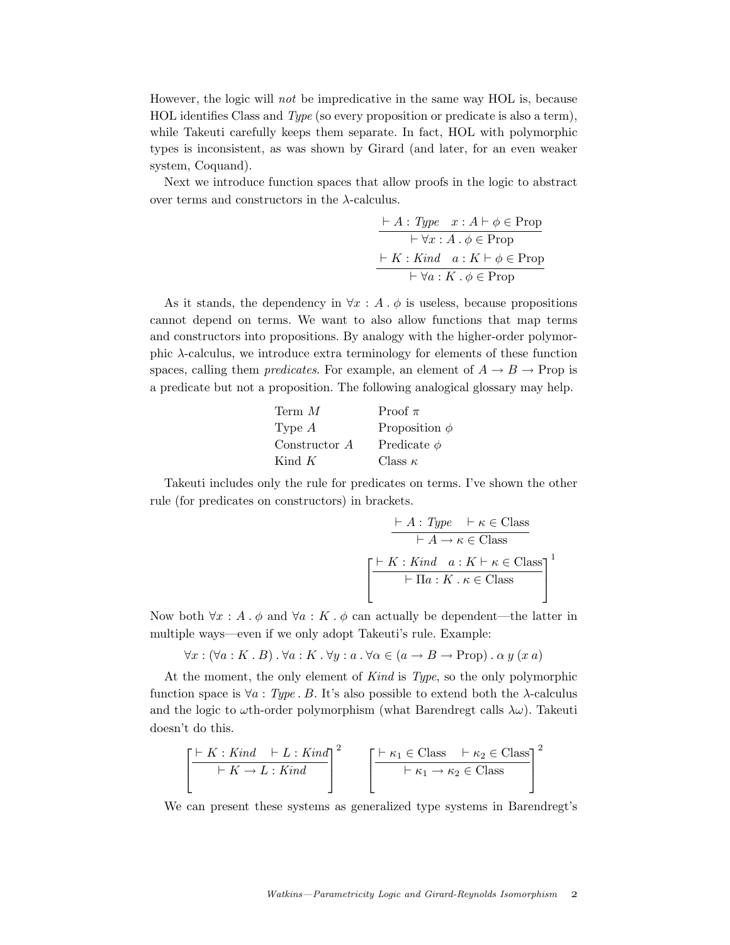However, the logic will not be impredicative in the same way HOL is, because HOL identifies Class and Type (so every proposition or predicate is also a term), while Takeuti carefully keeps them separate. In fact, HOL with polymorphic types is inconsistent, as was shown by Girard (and later, for an even weaker system, Coquand).

Next we introduce function spaces that allow proofs in the logic to abstract over terms and constructors in the  $\lambda$ -calculus.

` A : Type x : A ` φ ∈ Prop ` ∀x : A . φ ∈ Prop ` K : Kind a : K ` φ ∈ Prop ` ∀a : K . φ ∈ Prop

As it stands, the dependency in  $\forall x : A \cdot \phi$  is useless, because propositions cannot depend on terms. We want to also allow functions that map terms and constructors into propositions. By analogy with the higher-order polymorphic  $\lambda$ -calculus, we introduce extra terminology for elements of these function spaces, calling them *predicates*. For example, an element of  $A \rightarrow B \rightarrow$  Prop is a predicate but not a proposition. The following analogical glossary may help.

| Term M        | Proof $\pi$        |
|---------------|--------------------|
| Type $A$      | Proposition $\phi$ |
| Constructor A | Predicate $\phi$   |
| Kind $K$      | Class $\kappa$     |

Takeuti includes only the rule for predicates on terms. I've shown the other rule (for predicates on constructors) in brackets.

$$
\frac{\vdash A : Type \quad \vdash \kappa \in \text{Class}}{\vdash A \rightarrow \kappa \in \text{Class}}
$$
\n
$$
\left[\frac{\vdash K : Kind \quad a : K \vdash \kappa \in \text{Class}}{\vdash \Pi a : K \cdot \kappa \in \text{Class}}\right]^1
$$

Now both  $\forall x : A \cdot \phi$  and  $\forall a : K \cdot \phi$  can actually be dependent—the latter in multiple ways—even if we only adopt Takeuti's rule. Example:

 $\forall x : (\forall a : K \cdot B) \cdot \forall a : K \cdot \forall y : a \cdot \forall \alpha \in (a \rightarrow B \rightarrow Prop) \cdot \alpha y (xa)$ 

At the moment, the only element of Kind is Type, so the only polymorphic function space is  $\forall a : Type$ . B. It's also possible to extend both the  $\lambda$ -calculus and the logic to  $\omega$ th-order polymorphism (what Barendregt calls  $\lambda \omega$ ). Takeuti doesn't do this.

$$
\left[\frac{\vdash K: Kind \quad \vdash L: Kind}{\vdash K \to L: Kind}\right]^2 \qquad \left[\frac{\vdash \kappa_1 \in Class \quad \vdash \kappa_2 \in Class}{\vdash \kappa_1 \to \kappa_2 \in Class}\right]^2
$$

We can present these systems as generalized type systems in Barendregt's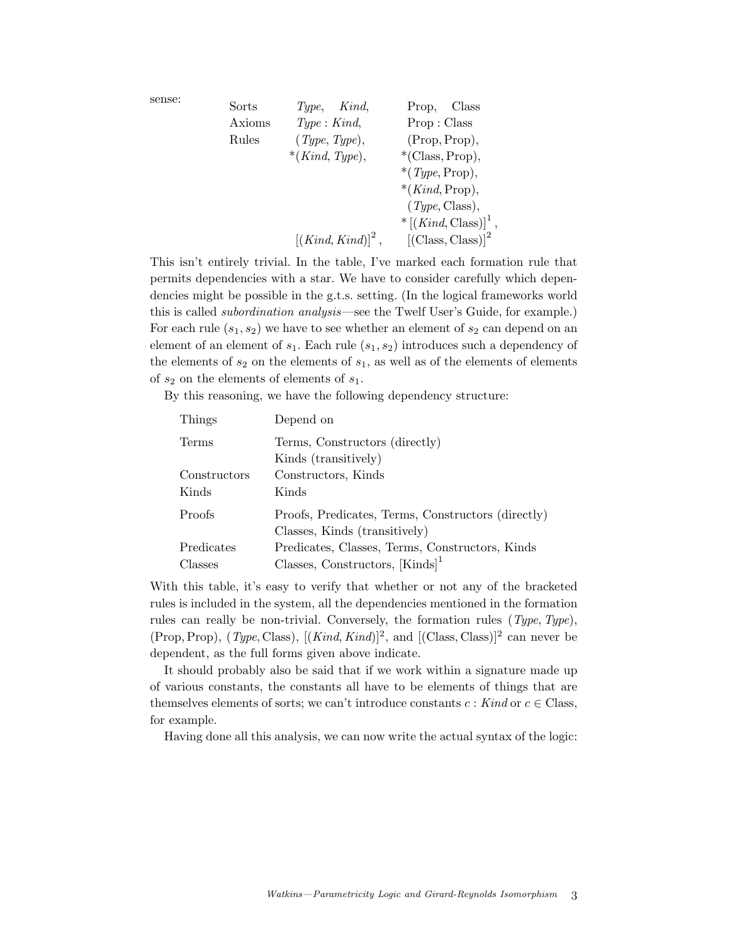| sense: | Sorts  | $Type,$ Kind,        | Class<br>Prop,                      |
|--------|--------|----------------------|-------------------------------------|
|        | Axioms | Type: Kind,          | Prop: Class                         |
|        | Rules  | (Type, Type),        | (Prop, Prop),                       |
|        |        | $*(Kind, Type),$     | $*(Class, Prop),$                   |
|        |        |                      | *( $Type, Prop),$                   |
|        |        |                      | $*(Kind, Prop),$                    |
|        |        |                      | (Type, Class),                      |
|        |        |                      | $*\left[ (Kind, Class) \right]^1$ , |
|        |        | $[(Kind, Kind)]^2$ , | $[{\rm (Class, Class)}]^2$          |
|        |        |                      |                                     |

This isn't entirely trivial. In the table, I've marked each formation rule that permits dependencies with a star. We have to consider carefully which dependencies might be possible in the g.t.s. setting. (In the logical frameworks world this is called *subordination analysis*—see the Twelf User's Guide, for example.) For each rule  $(s_1, s_2)$  we have to see whether an element of  $s_2$  can depend on an element of an element of  $s_1$ . Each rule  $(s_1, s_2)$  introduces such a dependency of the elements of  $s_2$  on the elements of  $s_1$ , as well as of the elements of elements of  $s_2$  on the elements of elements of  $s_1$ .

By this reasoning, we have the following dependency structure:

| Depend on                                          |  |
|----------------------------------------------------|--|
| Terms, Constructors (directly)                     |  |
| Kinds (transitively)                               |  |
| Constructors, Kinds                                |  |
| Kinds                                              |  |
| Proofs, Predicates, Terms, Constructors (directly) |  |
| Classes, Kinds (transitively)                      |  |
| Predicates, Classes, Terms, Constructors, Kinds    |  |
| Classes, Constructors, $[Kinds]$ <sup>1</sup>      |  |
|                                                    |  |

With this table, it's easy to verify that whether or not any of the bracketed rules is included in the system, all the dependencies mentioned in the formation rules can really be non-trivial. Conversely, the formation rules  $(Type, Type)$ , (Prop, Prop),  $(\textit{Type}, \text{Class})$ ,  $[(\textit{Kind}, \textit{Kind})]^2$ , and  $[(\text{Class}, \text{Class})]^2$  can never be dependent, as the full forms given above indicate.

It should probably also be said that if we work within a signature made up of various constants, the constants all have to be elements of things that are themselves elements of sorts; we can't introduce constants  $c : Kind$  or  $c \in Class$ , for example.

Having done all this analysis, we can now write the actual syntax of the logic: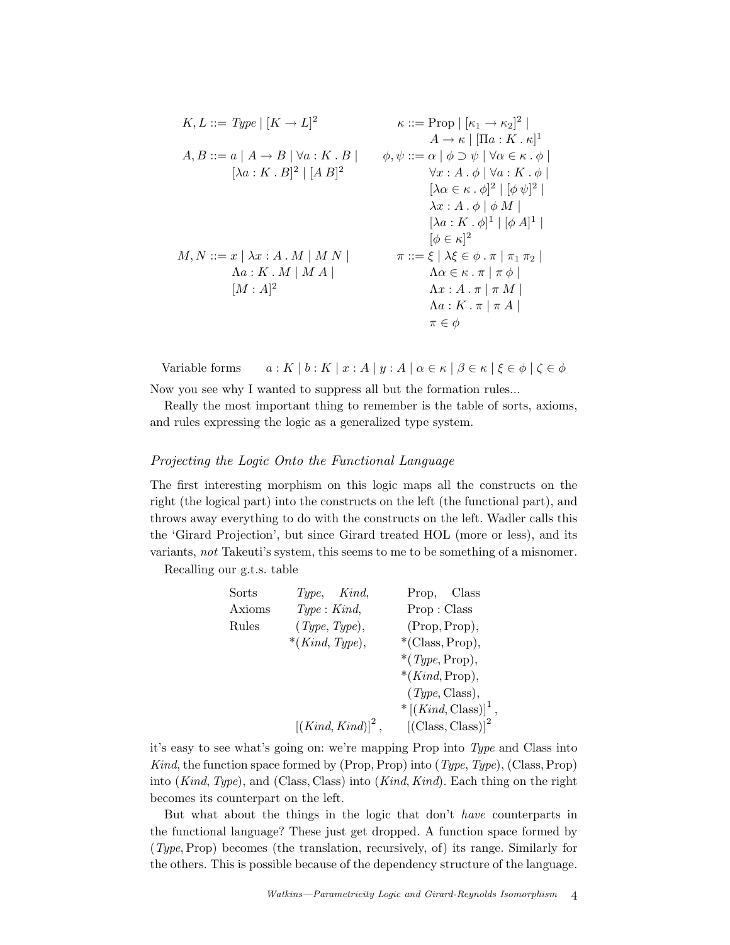$$
K, L ::= Type | [K \rightarrow L]^2
$$
\n
$$
\kappa ::= Prop | [k_1 \rightarrow \kappa_2]^2 |
$$
\n
$$
A \rightarrow \kappa | [ \Pi a : K \cdot \kappa ]^1
$$
\n
$$
[ \lambda a : K \cdot B]^2 | [A B]^2
$$
\n
$$
\phi, \psi ::= \alpha | \phi \supset \psi | \forall \alpha \in \kappa \cdot \phi |
$$
\n
$$
[ \lambda a : K \cdot B]^2 | [A B]^2
$$
\n
$$
\forall x : A \cdot \phi | \forall a : K \cdot \phi |
$$
\n
$$
[ \lambda \alpha \in \kappa \cdot \phi]^2 | [\phi \psi]^2 |
$$
\n
$$
\lambda x : A \cdot \phi | \phi M |
$$
\n
$$
[ \lambda a : K \cdot A | M N |
$$
\n
$$
[ \phi \in \kappa ]^2
$$
\n
$$
\Delta a : K \cdot M | M A |
$$
\n
$$
[ M : A]^2
$$
\n
$$
\Delta a : K \cdot \pi | \pi M |
$$
\n
$$
\Delta a : K \cdot \pi | \pi A |
$$
\n
$$
\Delta a : K \cdot \pi | \pi A |
$$
\n
$$
\Delta a : K \cdot \pi | \pi A |
$$

Variable forms  $a: K | b: K | x:A | y:A | \alpha \in \kappa | \beta \in \kappa | \xi \in \phi | \zeta \in \phi$ Now you see why I wanted to suppress all but the formation rules...

Really the most important thing to remember is the table of sorts, axioms, and rules expressing the logic as a generalized type system.

## Projecting the Logic Onto the Functional Language

The first interesting morphism on this logic maps all the constructs on the right (the logical part) into the constructs on the left (the functional part), and throws away everything to do with the constructs on the left. Wadler calls this the 'Girard Projection', but since Girard treated HOL (more or less), and its variants, not Takeuti's system, this seems to me to be something of a misnomer.

Recalling our g.t.s. table

| Sorts  | Type, Kind,                       | Prop, Class                               |
|--------|-----------------------------------|-------------------------------------------|
| Axioms | Type: Kind,                       | Prop: Class                               |
| Rules  | $(\textit{Type}, \textit{Type}),$ | (Prop, Prop),                             |
|        | $*(Kind, Type),$                  | $*(Class, Prop),$                         |
|        |                                   | $*(Type, Prop),$                          |
|        |                                   | $*(Kind, Prop),$                          |
|        |                                   | $(\textit{Type}, \text{Class}),$          |
|        |                                   | $*\left[ (Kind, Class) \right]^{\perp}$ , |
|        | $[(Kind, Kind)]^2$ ,              | $[{\rm (Class, Class)}]^2$                |
|        |                                   |                                           |

it's easy to see what's going on: we're mapping Prop into Type and Class into Kind, the function space formed by (Prop, Prop) into  $(Type, Type)$ , (Class, Prop) into (Kind, Type), and (Class, Class) into (Kind, Kind). Each thing on the right becomes its counterpart on the left.

But what about the things in the logic that don't have counterparts in the functional language? These just get dropped. A function space formed by (Type,Prop) becomes (the translation, recursively, of) its range. Similarly for the others. This is possible because of the dependency structure of the language.